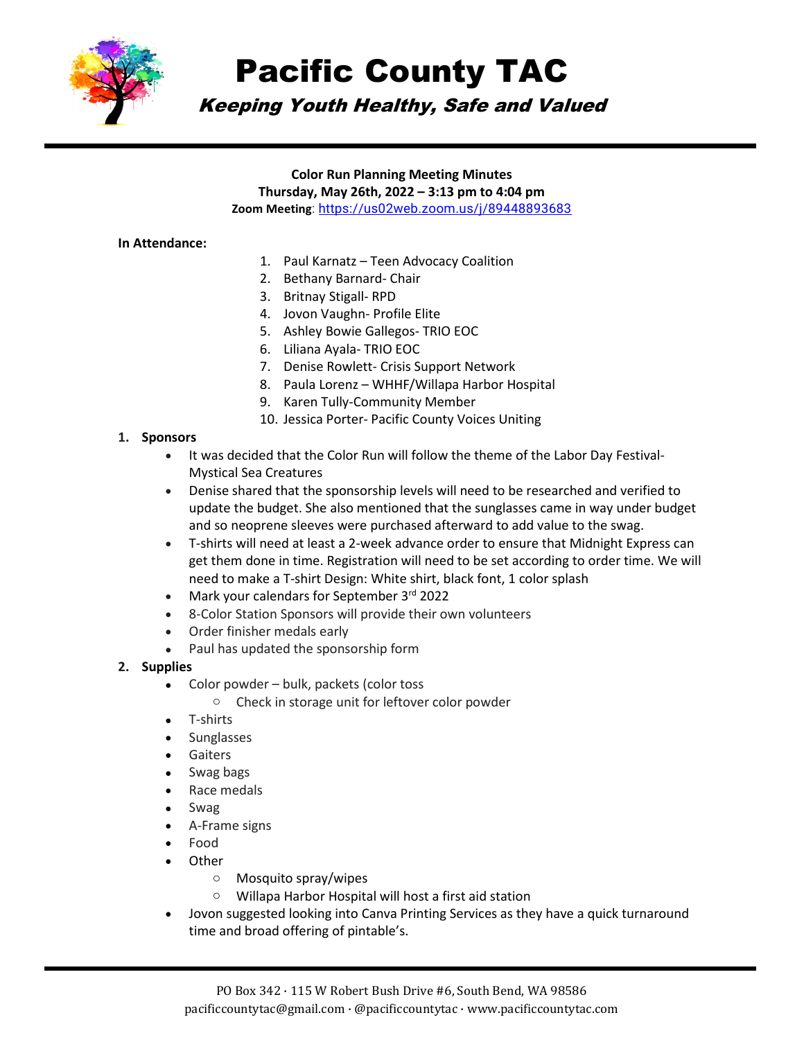

# Pacific County TAC

# Keeping Youth Healthy, Safe and Valued

#### **Color Run Planning Meeting Minutes**

**Thursday, May 26th, 2022 – 3:13 pm to 4:04 pm**

**Zoom Meeting**:<https://us02web.zoom.us/j/89448893683>

#### **In Attendance:**

- 1. Paul Karnatz Teen Advocacy Coalition
- 2. Bethany Barnard- Chair
- 3. Britnay Stigall- RPD
- 4. Jovon Vaughn- Profile Elite
- 5. Ashley Bowie Gallegos- TRIO EOC
- 6. Liliana Ayala- TRIO EOC
- 7. Denise Rowlett- Crisis Support Network
- 8. Paula Lorenz WHHF/Willapa Harbor Hospital
- 9. Karen Tully-Community Member
- 10. Jessica Porter- Pacific County Voices Uniting

#### **1. Sponsors**

- It was decided that the Color Run will follow the theme of the Labor Day Festival-Mystical Sea Creatures
- Denise shared that the sponsorship levels will need to be researched and verified to update the budget. She also mentioned that the sunglasses came in way under budget and so neoprene sleeves were purchased afterward to add value to the swag.
- T-shirts will need at least a 2-week advance order to ensure that Midnight Express can get them done in time. Registration will need to be set according to order time. We will need to make a T-shirt Design: White shirt, black font, 1 color splash
- Mark your calendars for September 3rd 2022
- 8-Color Station Sponsors will provide their own volunteers
- Order finisher medals early
- Paul has updated the sponsorship form

#### **2. Supplies**

- Color powder bulk, packets (color toss
	- o Check in storage unit for leftover color powder
- T-shirts
- Sunglasses
- Gaiters
- Swag bags
- Race medals
- Swag
- A-Frame signs
- Food
- **Other** 
	- o Mosquito spray/wipes
	- o Willapa Harbor Hospital will host a first aid station
- Jovon suggested looking into Canva Printing Services as they have a quick turnaround time and broad offering of pintable's.